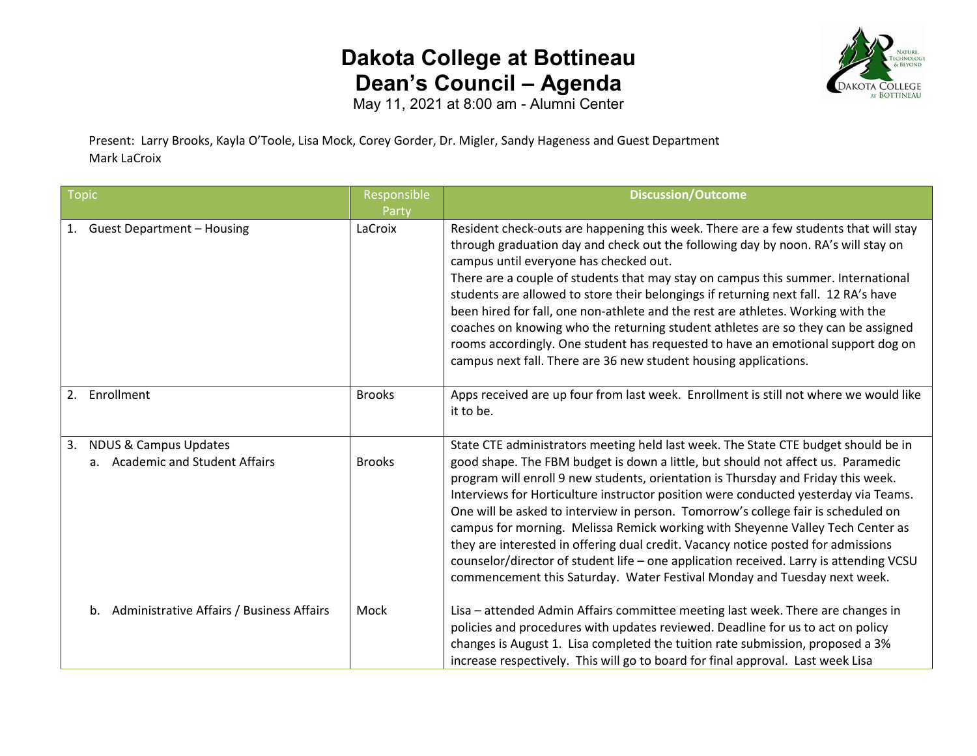## **Dakota College at Bottineau Dean's Council – Agenda**



May 11, 2021 at 8:00 am - Alumni Center

Present: Larry Brooks, Kayla O'Toole, Lisa Mock, Corey Gorder, Dr. Migler, Sandy Hageness and Guest Department Mark LaCroix

| <b>Topic</b>                                                              | Responsible<br>Party | <b>Discussion/Outcome</b>                                                                                                                                                                                                                                                                                                                                                                                                                                                                                                                                                                                                                                                                                                                                                            |
|---------------------------------------------------------------------------|----------------------|--------------------------------------------------------------------------------------------------------------------------------------------------------------------------------------------------------------------------------------------------------------------------------------------------------------------------------------------------------------------------------------------------------------------------------------------------------------------------------------------------------------------------------------------------------------------------------------------------------------------------------------------------------------------------------------------------------------------------------------------------------------------------------------|
| 1. Guest Department - Housing                                             | LaCroix              | Resident check-outs are happening this week. There are a few students that will stay<br>through graduation day and check out the following day by noon. RA's will stay on<br>campus until everyone has checked out.<br>There are a couple of students that may stay on campus this summer. International<br>students are allowed to store their belongings if returning next fall. 12 RA's have<br>been hired for fall, one non-athlete and the rest are athletes. Working with the<br>coaches on knowing who the returning student athletes are so they can be assigned<br>rooms accordingly. One student has requested to have an emotional support dog on<br>campus next fall. There are 36 new student housing applications.                                                     |
| 2. Enrollment                                                             | <b>Brooks</b>        | Apps received are up four from last week. Enrollment is still not where we would like<br>it to be.                                                                                                                                                                                                                                                                                                                                                                                                                                                                                                                                                                                                                                                                                   |
| <b>NDUS &amp; Campus Updates</b><br>3.<br>a. Academic and Student Affairs | <b>Brooks</b>        | State CTE administrators meeting held last week. The State CTE budget should be in<br>good shape. The FBM budget is down a little, but should not affect us. Paramedic<br>program will enroll 9 new students, orientation is Thursday and Friday this week.<br>Interviews for Horticulture instructor position were conducted yesterday via Teams.<br>One will be asked to interview in person. Tomorrow's college fair is scheduled on<br>campus for morning. Melissa Remick working with Sheyenne Valley Tech Center as<br>they are interested in offering dual credit. Vacancy notice posted for admissions<br>counselor/director of student life - one application received. Larry is attending VCSU<br>commencement this Saturday. Water Festival Monday and Tuesday next week. |
| b. Administrative Affairs / Business Affairs                              | Mock                 | Lisa - attended Admin Affairs committee meeting last week. There are changes in<br>policies and procedures with updates reviewed. Deadline for us to act on policy<br>changes is August 1. Lisa completed the tuition rate submission, proposed a 3%<br>increase respectively. This will go to board for final approval. Last week Lisa                                                                                                                                                                                                                                                                                                                                                                                                                                              |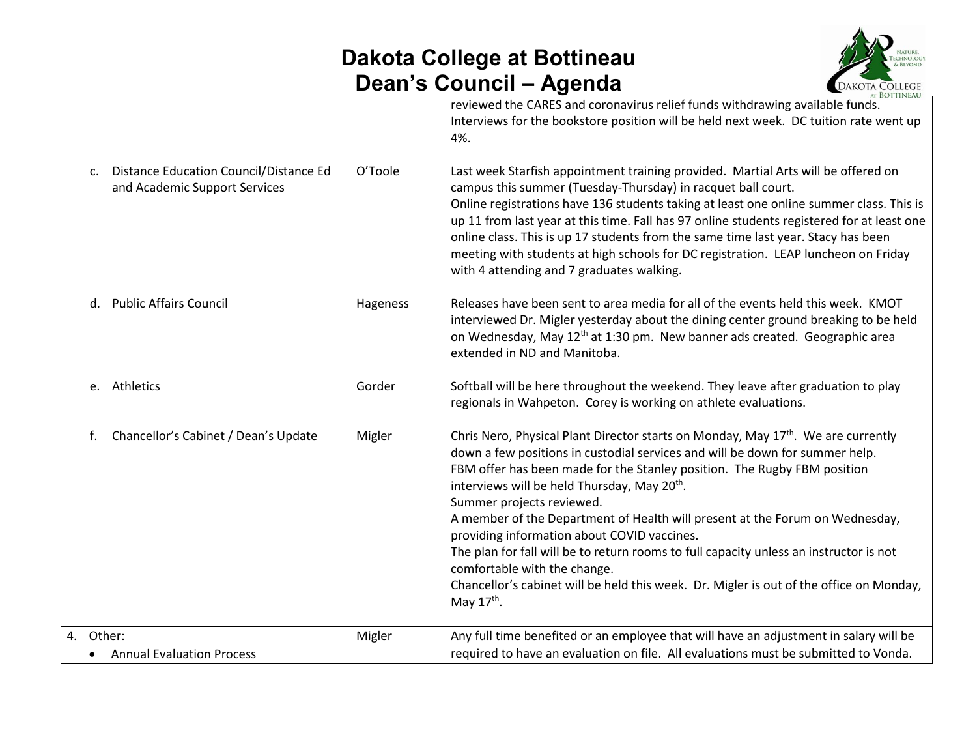## **Dakota College at Bottineau Dean's Council – Agenda**



|    |                                                                                      |          | AT BOTTINEAU                                                                                                                                                                                                                                                                                                                                                                                                                                                                                                                                                                                                                                                                                                                                       |
|----|--------------------------------------------------------------------------------------|----------|----------------------------------------------------------------------------------------------------------------------------------------------------------------------------------------------------------------------------------------------------------------------------------------------------------------------------------------------------------------------------------------------------------------------------------------------------------------------------------------------------------------------------------------------------------------------------------------------------------------------------------------------------------------------------------------------------------------------------------------------------|
|    | <b>Distance Education Council/Distance Ed</b><br>c.<br>and Academic Support Services | O'Toole  | reviewed the CARES and coronavirus relief funds withdrawing available funds.<br>Interviews for the bookstore position will be held next week. DC tuition rate went up<br>4%.<br>Last week Starfish appointment training provided. Martial Arts will be offered on<br>campus this summer (Tuesday-Thursday) in racquet ball court.<br>Online registrations have 136 students taking at least one online summer class. This is<br>up 11 from last year at this time. Fall has 97 online students registered for at least one<br>online class. This is up 17 students from the same time last year. Stacy has been<br>meeting with students at high schools for DC registration. LEAP luncheon on Friday<br>with 4 attending and 7 graduates walking. |
|    | <b>Public Affairs Council</b><br>d.                                                  | Hageness | Releases have been sent to area media for all of the events held this week. KMOT<br>interviewed Dr. Migler yesterday about the dining center ground breaking to be held<br>on Wednesday, May 12 <sup>th</sup> at 1:30 pm. New banner ads created. Geographic area<br>extended in ND and Manitoba.                                                                                                                                                                                                                                                                                                                                                                                                                                                  |
|    | e. Athletics                                                                         | Gorder   | Softball will be here throughout the weekend. They leave after graduation to play<br>regionals in Wahpeton. Corey is working on athlete evaluations.                                                                                                                                                                                                                                                                                                                                                                                                                                                                                                                                                                                               |
| f. | Chancellor's Cabinet / Dean's Update                                                 | Migler   | Chris Nero, Physical Plant Director starts on Monday, May 17 <sup>th</sup> . We are currently<br>down a few positions in custodial services and will be down for summer help.<br>FBM offer has been made for the Stanley position. The Rugby FBM position<br>interviews will be held Thursday, May 20 <sup>th</sup> .<br>Summer projects reviewed.<br>A member of the Department of Health will present at the Forum on Wednesday,<br>providing information about COVID vaccines.<br>The plan for fall will be to return rooms to full capacity unless an instructor is not<br>comfortable with the change.<br>Chancellor's cabinet will be held this week. Dr. Migler is out of the office on Monday,<br>May $17th$ .                             |
|    | 4. Other:                                                                            | Migler   | Any full time benefited or an employee that will have an adjustment in salary will be                                                                                                                                                                                                                                                                                                                                                                                                                                                                                                                                                                                                                                                              |
|    | • Annual Evaluation Process                                                          |          | required to have an evaluation on file. All evaluations must be submitted to Vonda.                                                                                                                                                                                                                                                                                                                                                                                                                                                                                                                                                                                                                                                                |